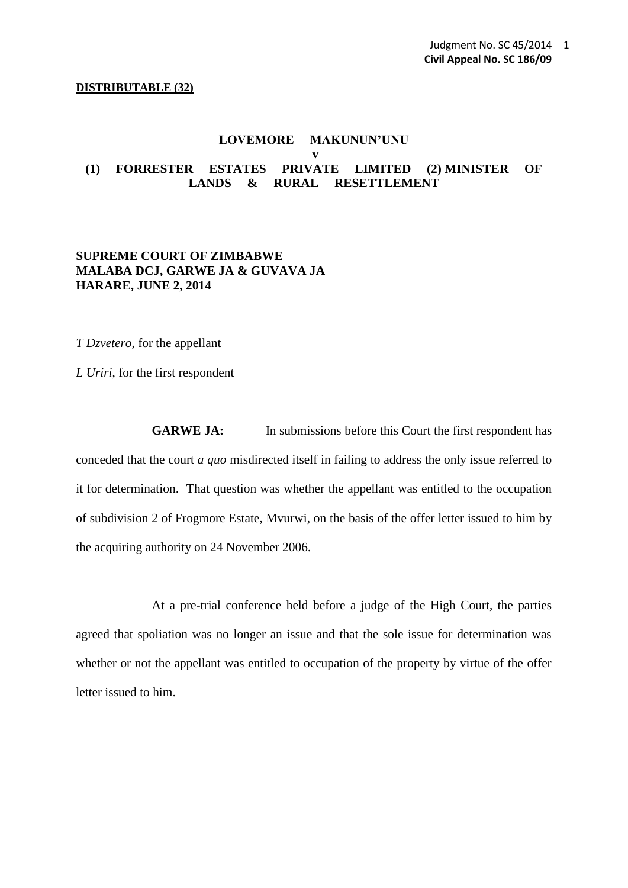## **DISTRIBUTABLE (32)**

## **LOVEMORE MAKUNUN'UNU v (1) FORRESTER ESTATES PRIVATE LIMITED (2) MINISTER OF LANDS & RURAL RESETTLEMENT**

## **SUPREME COURT OF ZIMBABWE MALABA DCJ, GARWE JA & GUVAVA JA HARARE, JUNE 2, 2014**

*T Dzvetero*, for the appellant

*L Uriri*, for the first respondent

**GARWE JA:** In submissions before this Court the first respondent has conceded that the court *a quo* misdirected itself in failing to address the only issue referred to it for determination. That question was whether the appellant was entitled to the occupation of subdivision 2 of Frogmore Estate, Mvurwi, on the basis of the offer letter issued to him by the acquiring authority on 24 November 2006.

At a pre-trial conference held before a judge of the High Court, the parties agreed that spoliation was no longer an issue and that the sole issue for determination was whether or not the appellant was entitled to occupation of the property by virtue of the offer letter issued to him.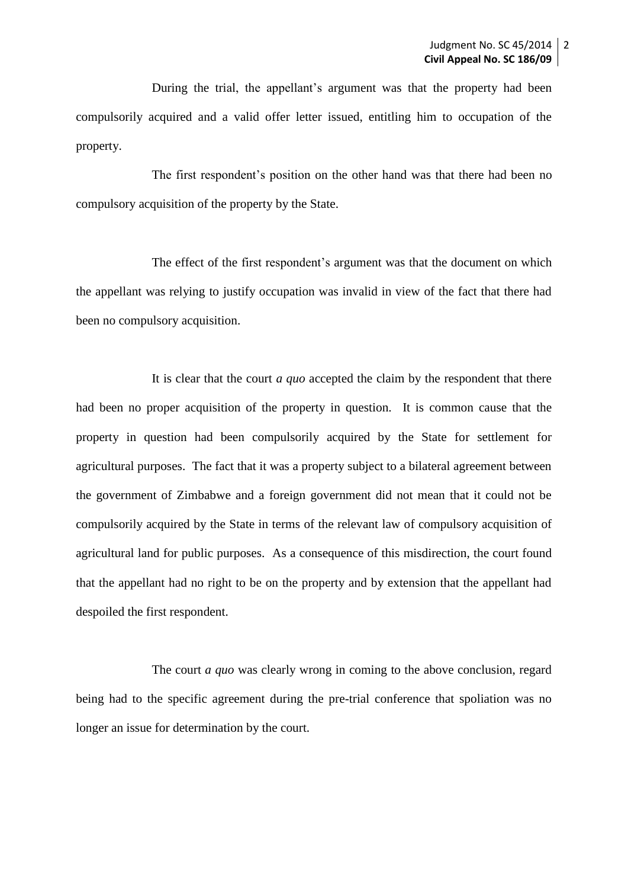During the trial, the appellant's argument was that the property had been compulsorily acquired and a valid offer letter issued, entitling him to occupation of the property.

The first respondent's position on the other hand was that there had been no compulsory acquisition of the property by the State.

The effect of the first respondent's argument was that the document on which the appellant was relying to justify occupation was invalid in view of the fact that there had been no compulsory acquisition.

It is clear that the court *a quo* accepted the claim by the respondent that there had been no proper acquisition of the property in question. It is common cause that the property in question had been compulsorily acquired by the State for settlement for agricultural purposes. The fact that it was a property subject to a bilateral agreement between the government of Zimbabwe and a foreign government did not mean that it could not be compulsorily acquired by the State in terms of the relevant law of compulsory acquisition of agricultural land for public purposes. As a consequence of this misdirection, the court found that the appellant had no right to be on the property and by extension that the appellant had despoiled the first respondent.

The court *a quo* was clearly wrong in coming to the above conclusion, regard being had to the specific agreement during the pre-trial conference that spoliation was no longer an issue for determination by the court.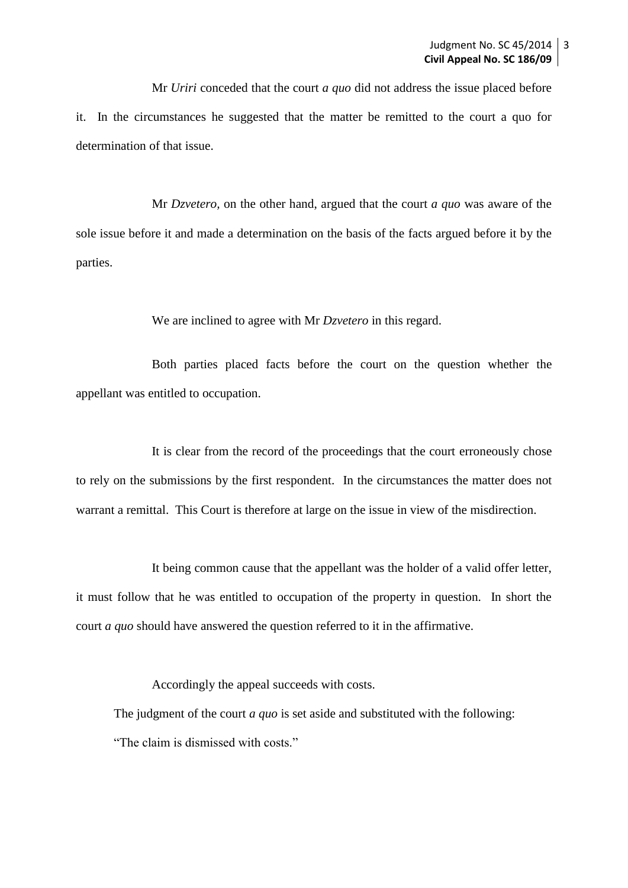Mr *Uriri* conceded that the court *a quo* did not address the issue placed before it. In the circumstances he suggested that the matter be remitted to the court a quo for determination of that issue.

Mr *Dzvetero,* on the other hand, argued that the court *a quo* was aware of the sole issue before it and made a determination on the basis of the facts argued before it by the parties.

We are inclined to agree with Mr *Dzvetero* in this regard.

Both parties placed facts before the court on the question whether the appellant was entitled to occupation.

It is clear from the record of the proceedings that the court erroneously chose to rely on the submissions by the first respondent. In the circumstances the matter does not warrant a remittal. This Court is therefore at large on the issue in view of the misdirection.

It being common cause that the appellant was the holder of a valid offer letter, it must follow that he was entitled to occupation of the property in question. In short the court *a quo* should have answered the question referred to it in the affirmative.

Accordingly the appeal succeeds with costs.

The judgment of the court *a quo* is set aside and substituted with the following:

"The claim is dismissed with costs."